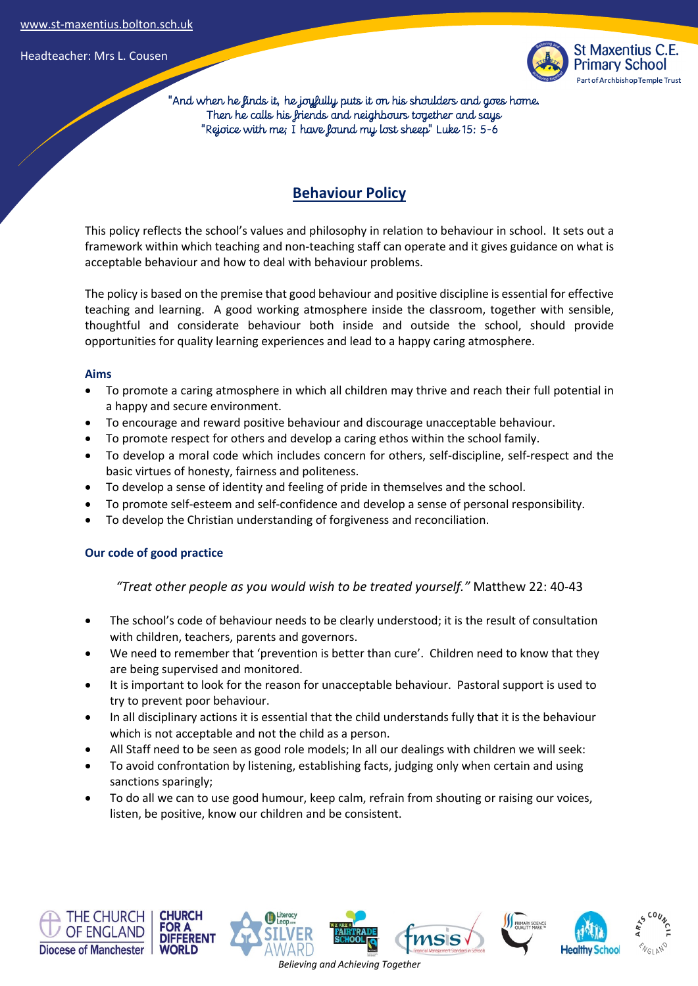

 "And when he finds it, he joyfully puts it on his shoulders and goes home. Then he calls his friends and neighbours together and says "Rejoice with me; I have found my lost sheep" Luke 15: 5-6

# **Behaviour Policy**

This policy reflects the school's values and philosophy in relation to behaviour in school. It sets out a framework within which teaching and non-teaching staff can operate and it gives guidance on what is acceptable behaviour and how to deal with behaviour problems.

The policy is based on the premise that good behaviour and positive discipline is essential for effective teaching and learning. A good working atmosphere inside the classroom, together with sensible, thoughtful and considerate behaviour both inside and outside the school, should provide opportunities for quality learning experiences and lead to a happy caring atmosphere.

#### **Aims**

- To promote a caring atmosphere in which all children may thrive and reach their full potential in a happy and secure environment.
- To encourage and reward positive behaviour and discourage unacceptable behaviour.
- To promote respect for others and develop a caring ethos within the school family.
- To develop a moral code which includes concern for others, self-discipline, self-respect and the basic virtues of honesty, fairness and politeness.
- To develop a sense of identity and feeling of pride in themselves and the school.
- To promote self-esteem and self-confidence and develop a sense of personal responsibility.
- To develop the Christian understanding of forgiveness and reconciliation.

### **Our code of good practice**

*"Treat other people as you would wish to be treated yourself."* Matthew 22: 40-43

- The school's code of behaviour needs to be clearly understood; it is the result of consultation with children, teachers, parents and governors.
- We need to remember that 'prevention is better than cure'. Children need to know that they are being supervised and monitored.
- It is important to look for the reason for unacceptable behaviour. Pastoral support is used to try to prevent poor behaviour.
- In all disciplinary actions it is essential that the child understands fully that it is the behaviour which is not acceptable and not the child as a person.
- All Staff need to be seen as good role models; In all our dealings with children we will seek:
- To avoid confrontation by listening, establishing facts, judging only when certain and using sanctions sparingly;
- To do all we can to use good humour, keep calm, refrain from shouting or raising our voices, listen, be positive, know our children and be consistent.









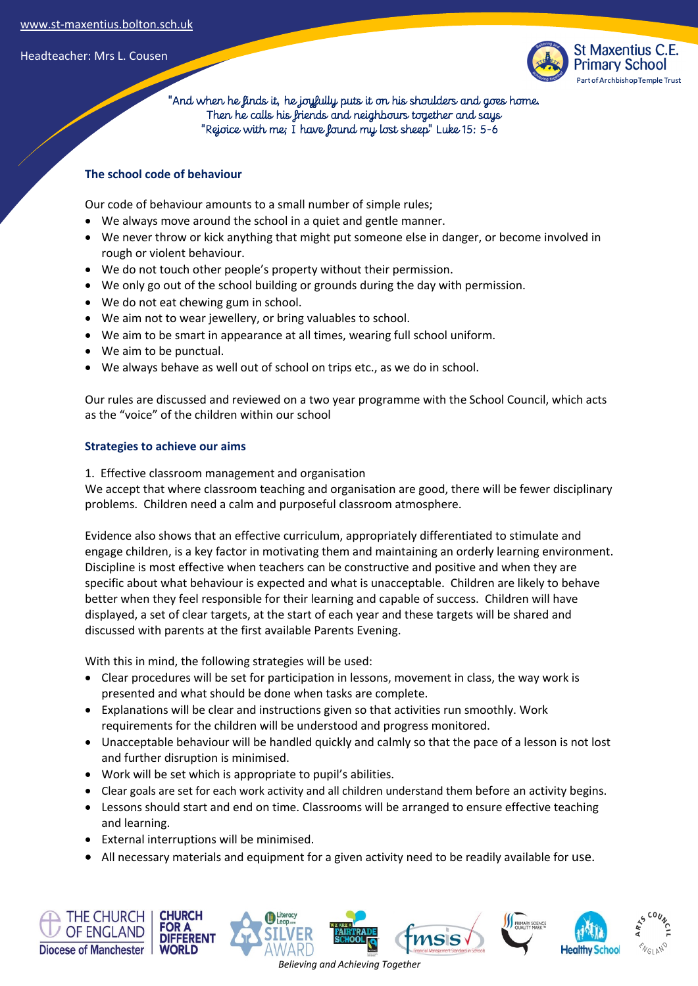

 "And when he finds it, he joyfully puts it on his shoulders and goes home. Then he calls his friends and neighbours together and says "Rejoice with me; I have found my lost sheep" Luke 15: 5-6

# **The school code of behaviour**

Our code of behaviour amounts to a small number of simple rules;

- We always move around the school in a quiet and gentle manner.
- We never throw or kick anything that might put someone else in danger, or become involved in rough or violent behaviour.
- We do not touch other people's property without their permission.
- We only go out of the school building or grounds during the day with permission.
- We do not eat chewing gum in school.
- We aim not to wear jewellery, or bring valuables to school.
- We aim to be smart in appearance at all times, wearing full school uniform.
- We aim to be punctual.
- We always behave as well out of school on trips etc., as we do in school.

Our rules are discussed and reviewed on a two year programme with the School Council, which acts as the "voice" of the children within our school

### **Strategies to achieve our aims**

1. Effective classroom management and organisation

We accept that where classroom teaching and organisation are good, there will be fewer disciplinary problems. Children need a calm and purposeful classroom atmosphere.

Evidence also shows that an effective curriculum, appropriately differentiated to stimulate and engage children, is a key factor in motivating them and maintaining an orderly learning environment. Discipline is most effective when teachers can be constructive and positive and when they are specific about what behaviour is expected and what is unacceptable. Children are likely to behave better when they feel responsible for their learning and capable of success. Children will have displayed, a set of clear targets, at the start of each year and these targets will be shared and discussed with parents at the first available Parents Evening.

With this in mind, the following strategies will be used:

- Clear procedures will be set for participation in lessons, movement in class, the way work is presented and what should be done when tasks are complete.
- Explanations will be clear and instructions given so that activities run smoothly. Work requirements for the children will be understood and progress monitored.
- Unacceptable behaviour will be handled quickly and calmly so that the pace of a lesson is not lost and further disruption is minimised.
- Work will be set which is appropriate to pupil's abilities.
- Clear goals are set for each work activity and all children understand them before an activity begins.
- Lessons should start and end on time. Classrooms will be arranged to ensure effective teaching and learning.
- External interruptions will be minimised.
- All necessary materials and equipment for a given activity need to be readily available for use.

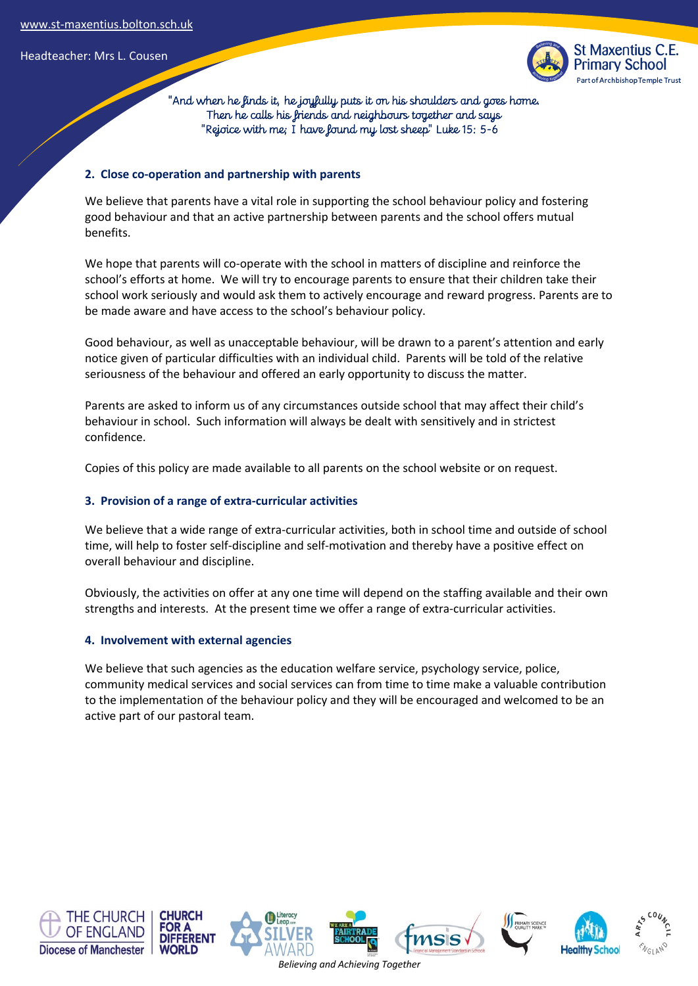

 "And when he finds it, he joyfully puts it on his shoulders and goes home. Then he calls his friends and neighbours together and says "Rejoice with me; I have found my lost sheep" Luke 15: 5-6

#### **2. Close co-operation and partnership with parents**

We believe that parents have a vital role in supporting the school behaviour policy and fostering good behaviour and that an active partnership between parents and the school offers mutual benefits.

We hope that parents will co-operate with the school in matters of discipline and reinforce the school's efforts at home. We will try to encourage parents to ensure that their children take their school work seriously and would ask them to actively encourage and reward progress. Parents are to be made aware and have access to the school's behaviour policy.

Good behaviour, as well as unacceptable behaviour, will be drawn to a parent's attention and early notice given of particular difficulties with an individual child. Parents will be told of the relative seriousness of the behaviour and offered an early opportunity to discuss the matter.

Parents are asked to inform us of any circumstances outside school that may affect their child's behaviour in school. Such information will always be dealt with sensitively and in strictest confidence.

Copies of this policy are made available to all parents on the school website or on request.

### **3. Provision of a range of extra-curricular activities**

We believe that a wide range of extra-curricular activities, both in school time and outside of school time, will help to foster self-discipline and self-motivation and thereby have a positive effect on overall behaviour and discipline.

Obviously, the activities on offer at any one time will depend on the staffing available and their own strengths and interests. At the present time we offer a range of extra-curricular activities.

#### **4. Involvement with external agencies**

We believe that such agencies as the education welfare service, psychology service, police, community medical services and social services can from time to time make a valuable contribution to the implementation of the behaviour policy and they will be encouraged and welcomed to be an active part of our pastoral team.

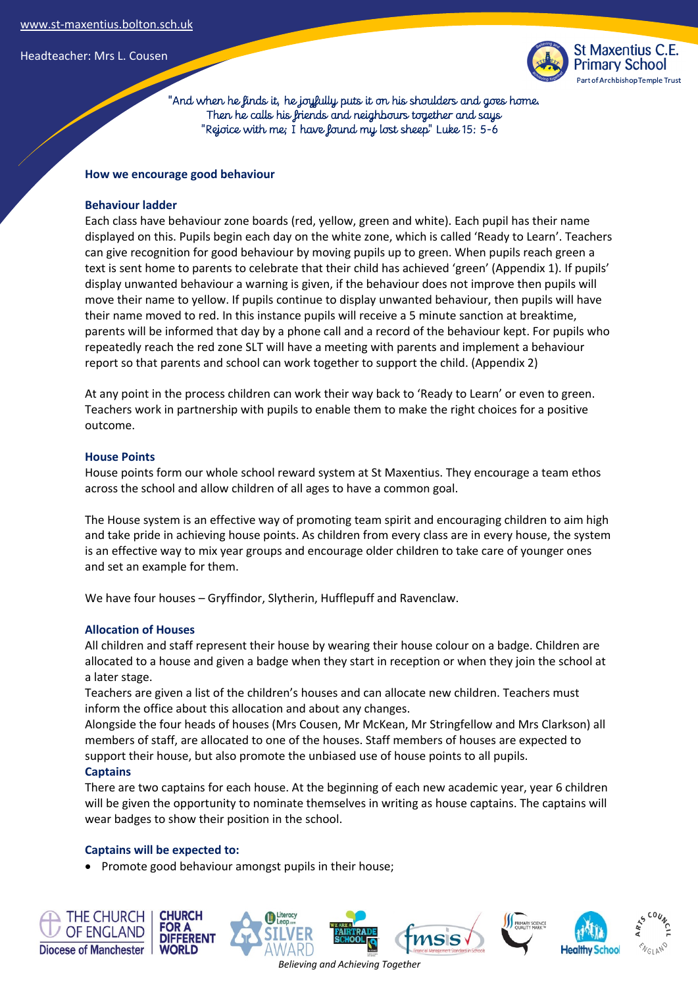

 "And when he finds it, he joyfully puts it on his shoulders and goes home. Then he calls his friends and neighbours together and says "Rejoice with me; I have found my lost sheep" Luke 15: 5-6

#### **How we encourage good behaviour**

#### **Behaviour ladder**

Each class have behaviour zone boards (red, yellow, green and white). Each pupil has their name displayed on this. Pupils begin each day on the white zone, which is called 'Ready to Learn'. Teachers can give recognition for good behaviour by moving pupils up to green. When pupils reach green a text is sent home to parents to celebrate that their child has achieved 'green' (Appendix 1). If pupils' display unwanted behaviour a warning is given, if the behaviour does not improve then pupils will move their name to yellow. If pupils continue to display unwanted behaviour, then pupils will have their name moved to red. In this instance pupils will receive a 5 minute sanction at breaktime, parents will be informed that day by a phone call and a record of the behaviour kept. For pupils who repeatedly reach the red zone SLT will have a meeting with parents and implement a behaviour report so that parents and school can work together to support the child. (Appendix 2)

At any point in the process children can work their way back to 'Ready to Learn' or even to green. Teachers work in partnership with pupils to enable them to make the right choices for a positive outcome.

#### **House Points**

House points form our whole school reward system at St Maxentius. They encourage a team ethos across the school and allow children of all ages to have a common goal.

The House system is an effective way of promoting team spirit and encouraging children to aim high and take pride in achieving house points. As children from every class are in every house, the system is an effective way to mix year groups and encourage older children to take care of younger ones and set an example for them.

We have four houses – Gryffindor, Slytherin, Hufflepuff and Ravenclaw.

### **Allocation of Houses**

All children and staff represent their house by wearing their house colour on a badge. Children are allocated to a house and given a badge when they start in reception or when they join the school at a later stage.

Teachers are given a list of the children's houses and can allocate new children. Teachers must inform the office about this allocation and about any changes.

Alongside the four heads of houses (Mrs Cousen, Mr McKean, Mr Stringfellow and Mrs Clarkson) all members of staff, are allocated to one of the houses. Staff members of houses are expected to support their house, but also promote the unbiased use of house points to all pupils.

#### **Captains**

There are two captains for each house. At the beginning of each new academic year, year 6 children will be given the opportunity to nominate themselves in writing as house captains. The captains will wear badges to show their position in the school.

### **Captains will be expected to:**

• Promote good behaviour amongst pupils in their house;

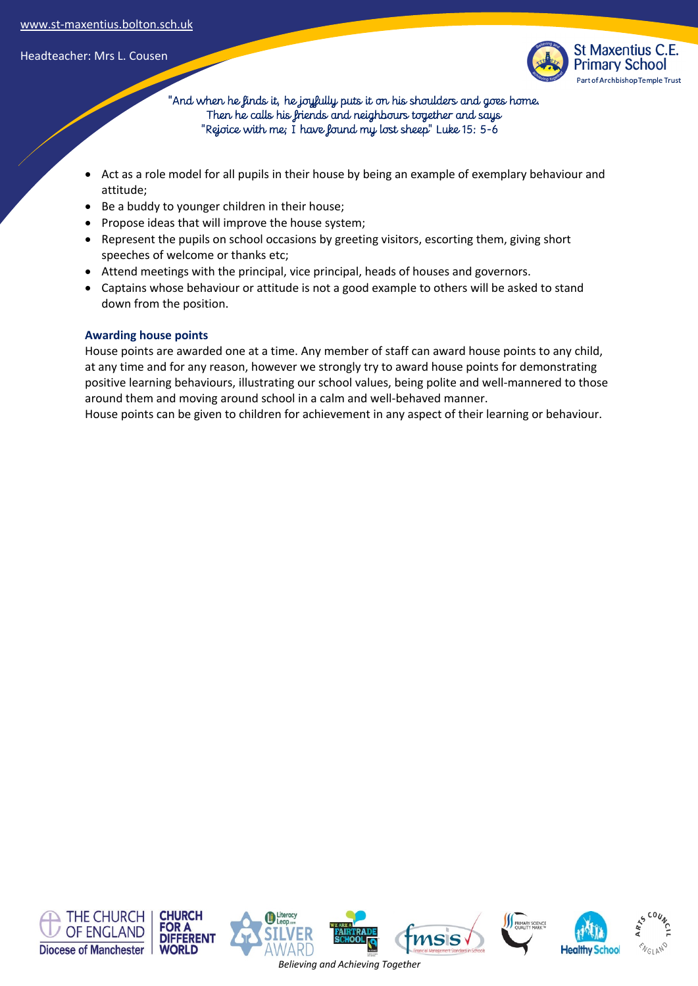

 "And when he finds it, he joyfully puts it on his shoulders and goes home. Then he calls his friends and neighbours together and says "Rejoice with me; I have found my lost sheep" Luke 15: 5-6

- Act as a role model for all pupils in their house by being an example of exemplary behaviour and attitude;
- Be a buddy to younger children in their house;
- Propose ideas that will improve the house system;
- Represent the pupils on school occasions by greeting visitors, escorting them, giving short speeches of welcome or thanks etc;
- Attend meetings with the principal, vice principal, heads of houses and governors.
- Captains whose behaviour or attitude is not a good example to others will be asked to stand down from the position.

# **Awarding house points**

House points are awarded one at a time. Any member of staff can award house points to any child, at any time and for any reason, however we strongly try to award house points for demonstrating positive learning behaviours, illustrating our school values, being polite and well-mannered to those around them and moving around school in a calm and well-behaved manner.

House points can be given to children for achievement in any aspect of their learning or behaviour.

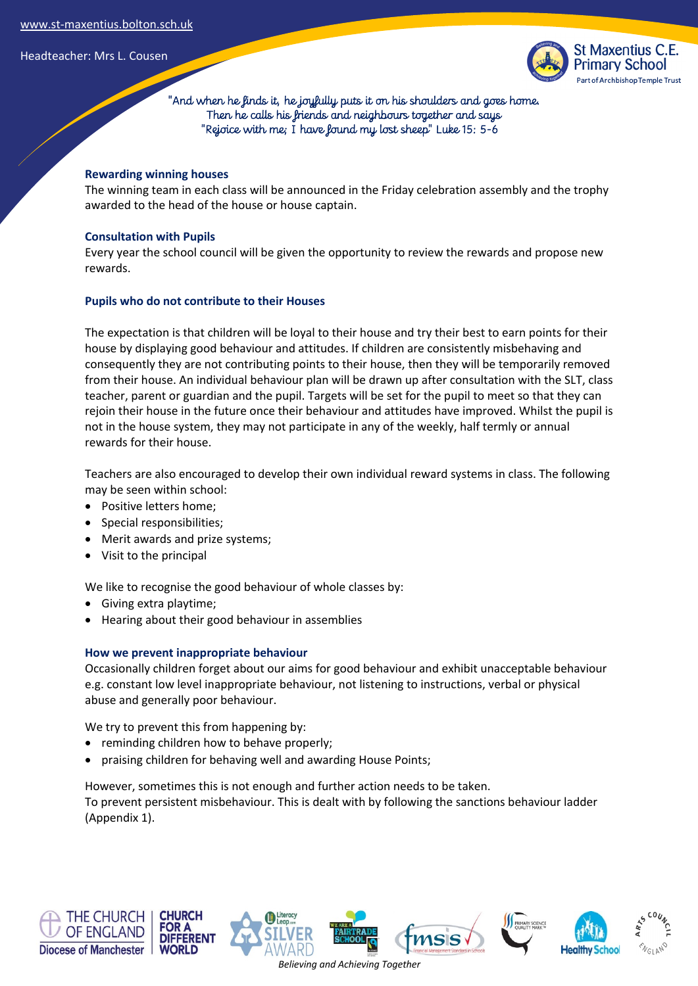

 "And when he finds it, he joyfully puts it on his shoulders and goes home. Then he calls his friends and neighbours together and says "Rejoice with me; I have found my lost sheep" Luke 15: 5-6

## **Rewarding winning houses**

The winning team in each class will be announced in the Friday celebration assembly and the trophy awarded to the head of the house or house captain.

### **Consultation with Pupils**

Every year the school council will be given the opportunity to review the rewards and propose new rewards.

## **Pupils who do not contribute to their Houses**

The expectation is that children will be loyal to their house and try their best to earn points for their house by displaying good behaviour and attitudes. If children are consistently misbehaving and consequently they are not contributing points to their house, then they will be temporarily removed from their house. An individual behaviour plan will be drawn up after consultation with the SLT, class teacher, parent or guardian and the pupil. Targets will be set for the pupil to meet so that they can rejoin their house in the future once their behaviour and attitudes have improved. Whilst the pupil is not in the house system, they may not participate in any of the weekly, half termly or annual rewards for their house.

Teachers are also encouraged to develop their own individual reward systems in class. The following may be seen within school:

- Positive letters home;
- Special responsibilities;
- Merit awards and prize systems;
- Visit to the principal

We like to recognise the good behaviour of whole classes by:

- Giving extra playtime;
- Hearing about their good behaviour in assemblies

### **How we prevent inappropriate behaviour**

Occasionally children forget about our aims for good behaviour and exhibit unacceptable behaviour e.g. constant low level inappropriate behaviour, not listening to instructions, verbal or physical abuse and generally poor behaviour.

We try to prevent this from happening by:

- reminding children how to behave properly;
- praising children for behaving well and awarding House Points;

However, sometimes this is not enough and further action needs to be taken.

To prevent persistent misbehaviour. This is dealt with by following the sanctions behaviour ladder (Appendix 1).











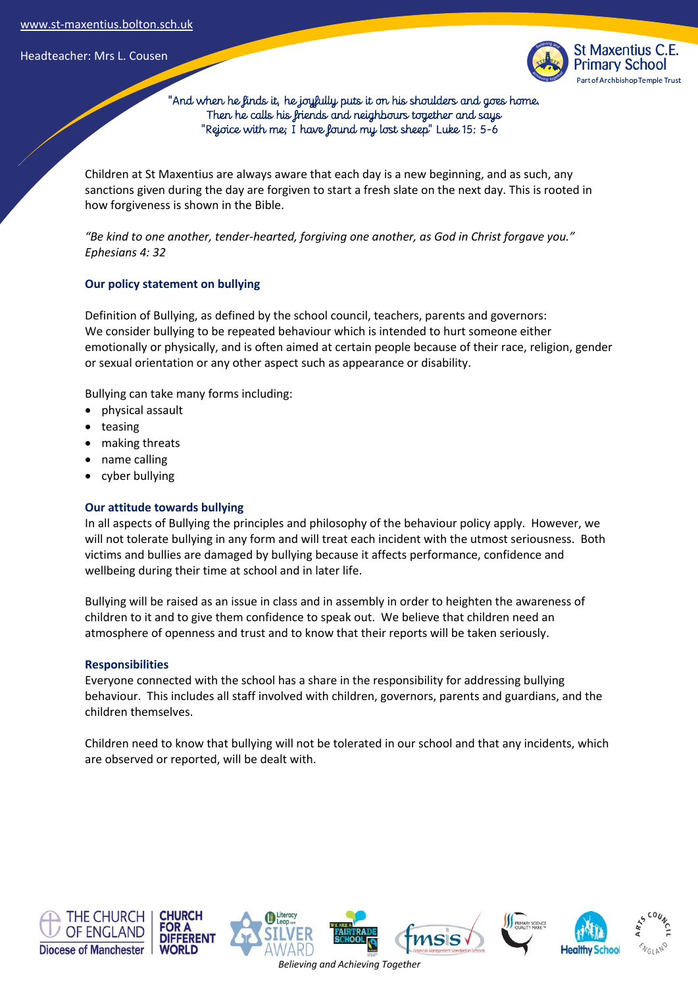

 "And when he finds it, he joyfully puts it on his shoulders and goes home. Then he calls his friends and neighbours together and says "Rejoice with me; I have found my lost sheep" Luke 15: 5-6

Children at St Maxentius are always aware that each day is a new beginning, and as such, any sanctions given during the day are forgiven to start a fresh slate on the next day. This is rooted in how forgiveness is shown in the Bible.

*"Be kind to one another, tender-hearted, forgiving one another, as God in Christ forgave you." Ephesians 4: 32*

### **Our policy statement on bullying**

Definition of Bullying, as defined by the school council, teachers, parents and governors: We consider bullying to be repeated behaviour which is intended to hurt someone either emotionally or physically, and is often aimed at certain people because of their race, religion, gender or sexual orientation or any other aspect such as appearance or disability.

Bullying can take many forms including:

- physical assault
- teasing
- making threats
- name calling
- cyber bullying

### **Our attitude towards bullying**

In all aspects of Bullying the principles and philosophy of the behaviour policy apply. However, we will not tolerate bullying in any form and will treat each incident with the utmost seriousness. Both victims and bullies are damaged by bullying because it affects performance, confidence and wellbeing during their time at school and in later life.

Bullying will be raised as an issue in class and in assembly in order to heighten the awareness of children to it and to give them confidence to speak out. We believe that children need an atmosphere of openness and trust and to know that their reports will be taken seriously.

#### **Responsibilities**

Everyone connected with the school has a share in the responsibility for addressing bullying behaviour. This includes all staff involved with children, governors, parents and guardians, and the children themselves.

Children need to know that bullying will not be tolerated in our school and that any incidents, which are observed or reported, will be dealt with.











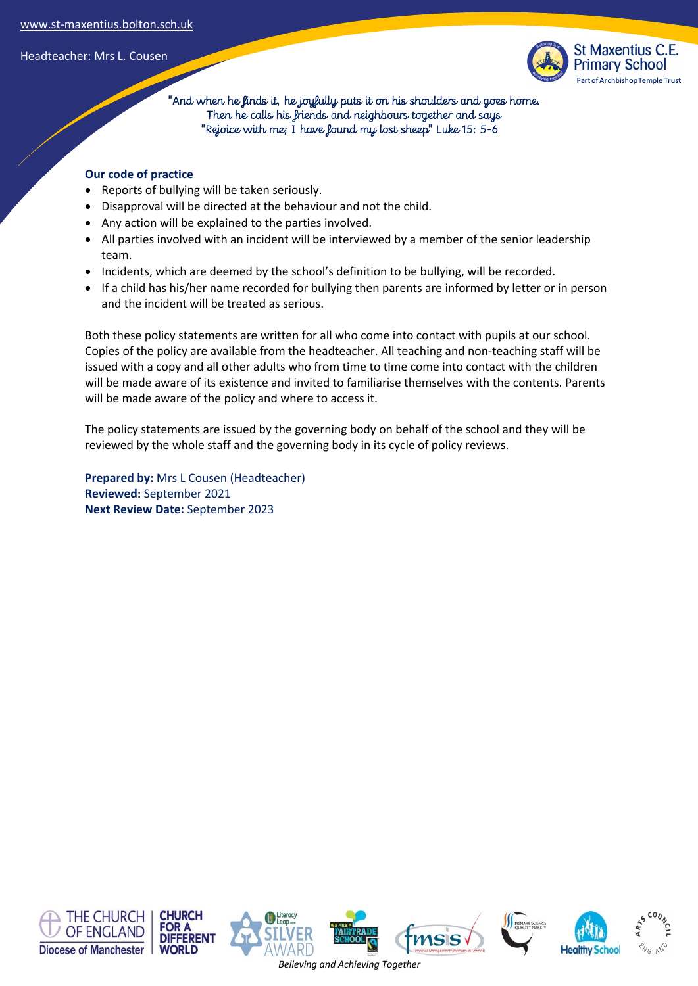

 "And when he finds it, he joyfully puts it on his shoulders and goes home. Then he calls his friends and neighbours together and says "Rejoice with me; I have found my lost sheep" Luke 15: 5-6

## **Our code of practice**

- Reports of bullying will be taken seriously.
- Disapproval will be directed at the behaviour and not the child.
- Any action will be explained to the parties involved.
- All parties involved with an incident will be interviewed by a member of the senior leadership team.
- Incidents, which are deemed by the school's definition to be bullying, will be recorded.
- If a child has his/her name recorded for bullying then parents are informed by letter or in person and the incident will be treated as serious.

Both these policy statements are written for all who come into contact with pupils at our school. Copies of the policy are available from the headteacher. All teaching and non-teaching staff will be issued with a copy and all other adults who from time to time come into contact with the children will be made aware of its existence and invited to familiarise themselves with the contents. Parents will be made aware of the policy and where to access it.

The policy statements are issued by the governing body on behalf of the school and they will be reviewed by the whole staff and the governing body in its cycle of policy reviews.

**Prepared by:** Mrs L Cousen (Headteacher) **Reviewed:** September 2021 **Next Review Date:** September 2023

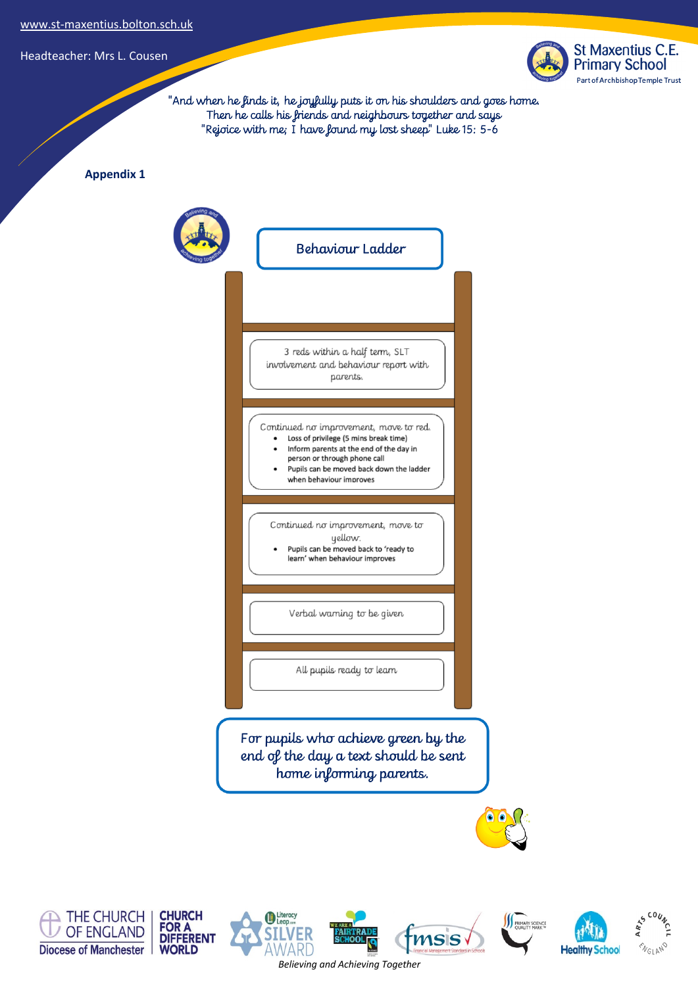

 $\sum_{n=1}^{\infty}$ 

**EVGLAND** 

ARTS

**Healthy School** 

**BUMARY SCIENCE** 

**MSIS** 

 "And when he finds it, he joyfully puts it on his shoulders and goes home. Then he calls his friends and neighbours together and says "Rejoice with me; I have found my lost sheep" Luke 15: 5-6

**Appendix 1**







Literacy

ЕR

911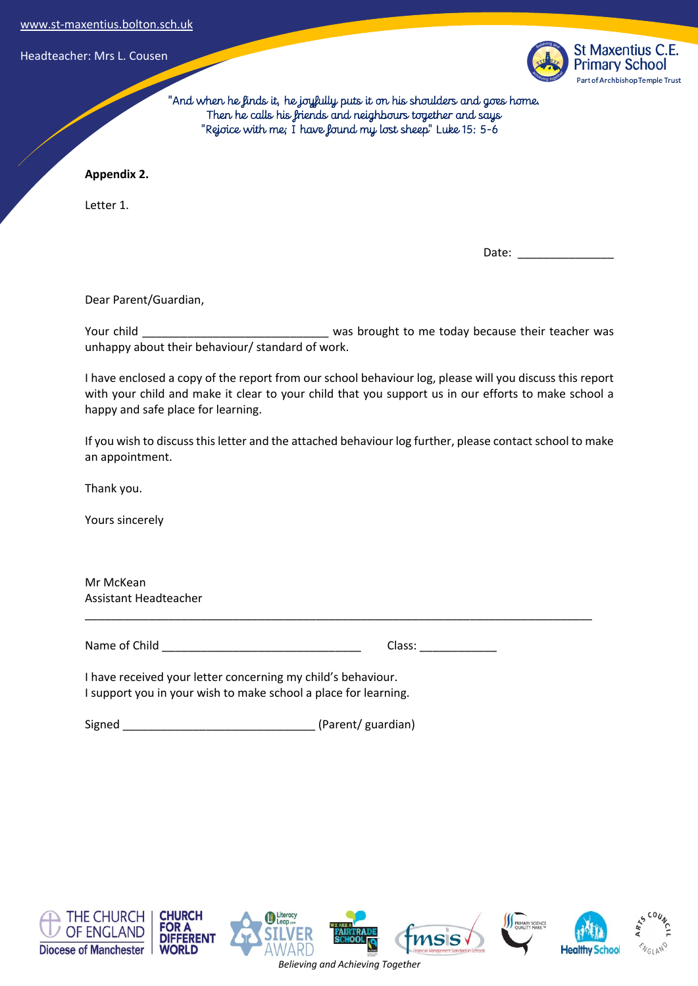

 "And when he finds it, he joyfully puts it on his shoulders and goes home. Then he calls his friends and neighbours together and says "Rejoice with me; I have found my lost sheep" Luke 15: 5-6

## **Appendix 2.**

Letter 1.

Date:

Dear Parent/Guardian,

Your child \_\_\_\_\_\_\_\_\_\_\_\_\_\_\_\_\_\_\_\_\_\_\_\_\_\_\_\_\_\_\_\_\_ was brought to me today because their teacher was unhappy about their behaviour/ standard of work.

I have enclosed a copy of the report from our school behaviour log, please will you discuss this report with your child and make it clear to your child that you support us in our efforts to make school a happy and safe place for learning.

If you wish to discuss this letter and the attached behaviour log further, please contact school to make an appointment.

\_\_\_\_\_\_\_\_\_\_\_\_\_\_\_\_\_\_\_\_\_\_\_\_\_\_\_\_\_\_\_\_\_\_\_\_\_\_\_\_\_\_\_\_\_\_\_\_\_\_\_\_\_\_\_\_\_\_\_\_\_\_\_\_\_\_\_\_\_\_\_\_\_\_\_\_\_\_\_

Thank you.

Yours sincerely

Mr McKean Assistant Headteacher

Name of Child \_\_\_\_\_\_\_\_\_\_\_\_\_\_\_\_\_\_\_\_\_\_\_\_\_\_\_\_\_\_\_ Class: \_\_\_\_\_\_\_\_\_\_\_\_

I have received your letter concerning my child's behaviour. I support you in your wish to make school a place for learning.

Signed Signed (Parent/ guardian)